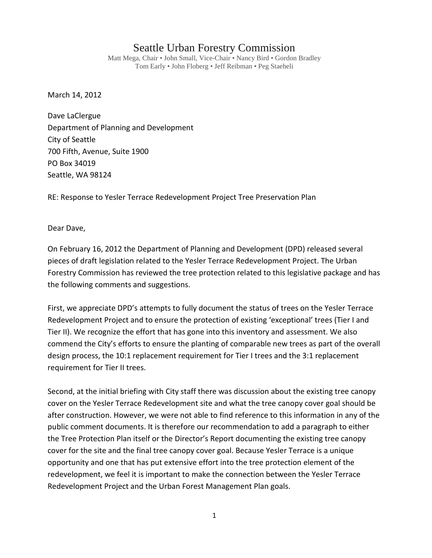## Seattle Urban Forestry Commission

Matt Mega, Chair • John Small, Vice-Chair • Nancy Bird • Gordon Bradley Tom Early • John Floberg • Jeff Reibman • Peg Staeheli

March 14, 2012

Dave LaClergue Department of Planning and Development City of Seattle 700 Fifth, Avenue, Suite 1900 PO Box 34019 Seattle, WA 98124

RE: Response to Yesler Terrace Redevelopment Project Tree Preservation Plan

Dear Dave,

On February 16, 2012 the Department of Planning and Development (DPD) released several pieces of draft legislation related to the Yesler Terrace Redevelopment Project. The Urban Forestry Commission has reviewed the tree protection related to this legislative package and has the following comments and suggestions.

First, we appreciate DPD's attempts to fully document the status of trees on the Yesler Terrace Redevelopment Project and to ensure the protection of existing 'exceptional' trees (Tier I and Tier II). We recognize the effort that has gone into this inventory and assessment. We also commend the City's efforts to ensure the planting of comparable new trees as part of the overall design process, the 10:1 replacement requirement for Tier I trees and the 3:1 replacement requirement for Tier II trees.

Second, at the initial briefing with City staff there was discussion about the existing tree canopy cover on the Yesler Terrace Redevelopment site and what the tree canopy cover goal should be after construction. However, we were not able to find reference to this information in any of the public comment documents. It is therefore our recommendation to add a paragraph to either the Tree Protection Plan itself or the Director's Report documenting the existing tree canopy cover for the site and the final tree canopy cover goal. Because Yesler Terrace is a unique opportunity and one that has put extensive effort into the tree protection element of the redevelopment, we feel it is important to make the connection between the Yesler Terrace Redevelopment Project and the Urban Forest Management Plan goals.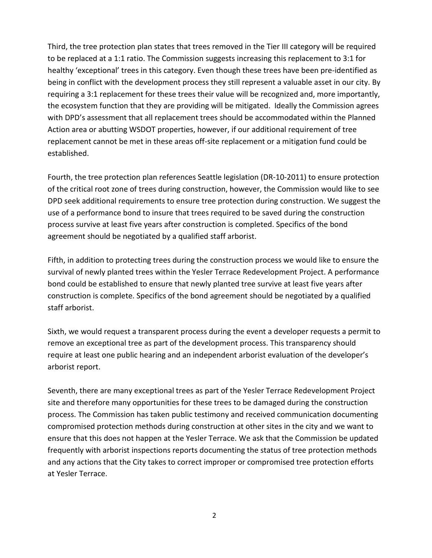Third, the tree protection plan states that trees removed in the Tier III category will be required to be replaced at a 1:1 ratio. The Commission suggests increasing this replacement to 3:1 for healthy 'exceptional' trees in this category. Even though these trees have been pre-identified as being in conflict with the development process they still represent a valuable asset in our city. By requiring a 3:1 replacement for these trees their value will be recognized and, more importantly, the ecosystem function that they are providing will be mitigated. Ideally the Commission agrees with DPD's assessment that all replacement trees should be accommodated within the Planned Action area or abutting WSDOT properties, however, if our additional requirement of tree replacement cannot be met in these areas off-site replacement or a mitigation fund could be established.

Fourth, the tree protection plan references Seattle legislation (DR-10-2011) to ensure protection of the critical root zone of trees during construction, however, the Commission would like to see DPD seek additional requirements to ensure tree protection during construction. We suggest the use of a performance bond to insure that trees required to be saved during the construction process survive at least five years after construction is completed. Specifics of the bond agreement should be negotiated by a qualified staff arborist.

Fifth, in addition to protecting trees during the construction process we would like to ensure the survival of newly planted trees within the Yesler Terrace Redevelopment Project. A performance bond could be established to ensure that newly planted tree survive at least five years after construction is complete. Specifics of the bond agreement should be negotiated by a qualified staff arborist.

Sixth, we would request a transparent process during the event a developer requests a permit to remove an exceptional tree as part of the development process. This transparency should require at least one public hearing and an independent arborist evaluation of the developer's arborist report.

Seventh, there are many exceptional trees as part of the Yesler Terrace Redevelopment Project site and therefore many opportunities for these trees to be damaged during the construction process. The Commission has taken public testimony and received communication documenting compromised protection methods during construction at other sites in the city and we want to ensure that this does not happen at the Yesler Terrace. We ask that the Commission be updated frequently with arborist inspections reports documenting the status of tree protection methods and any actions that the City takes to correct improper or compromised tree protection efforts at Yesler Terrace.